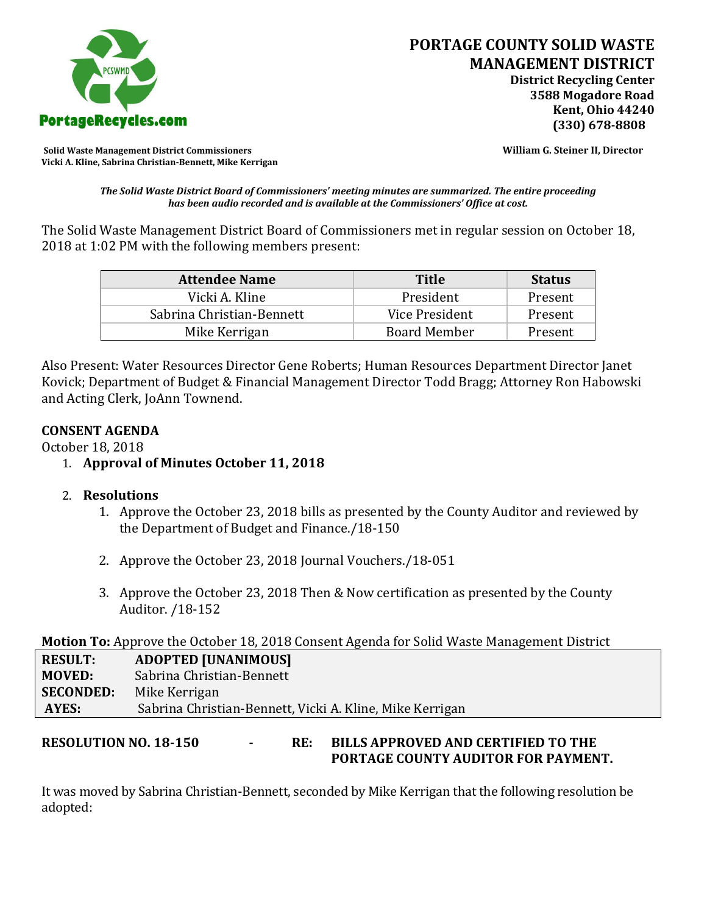

**Solid Waste Management District Commissioners William G. Steiner II, Director Vicki A. Kline, Sabrina Christian-Bennett, Mike Kerrigan** 

*The Solid Waste District Board of Commissioners' meeting minutes are summarized. The entire proceeding has been audio recorded and is available at the Commissioners' Office at cost.*

The Solid Waste Management District Board of Commissioners met in regular session on October 18, 2018 at 1:02 PM with the following members present:

| <b>Attendee Name</b>      | Title               | <b>Status</b> |
|---------------------------|---------------------|---------------|
| Vicki A. Kline            | President           | Present       |
| Sabrina Christian-Bennett | Vice President      | Present       |
| Mike Kerrigan             | <b>Board Member</b> | Present       |

Also Present: Water Resources Director Gene Roberts; Human Resources Department Director Janet Kovick; Department of Budget & Financial Management Director Todd Bragg; Attorney Ron Habowski and Acting Clerk, JoAnn Townend.

## **CONSENT AGENDA**

October 18, 2018

- 1. **Approval of Minutes October 11, 2018**
- 2. **Resolutions**
	- 1. Approve the October 23, 2018 bills as presented by the County Auditor and reviewed by the Department of Budget and Finance./18-150
	- 2. Approve the October 23, 2018 Journal Vouchers./18-051
	- 3. Approve the October 23, 2018 Then & Now certification as presented by the County Auditor. /18-152

# **Motion To:** Approve the October 18, 2018 Consent Agenda for Solid Waste Management District

| <b>RESULT:</b>   | <b>ADOPTED [UNANIMOUS]</b>                               |
|------------------|----------------------------------------------------------|
| <b>MOVED:</b>    | Sabrina Christian-Bennett                                |
| <b>SECONDED:</b> | Mike Kerrigan                                            |
| AYES:            | Sabrina Christian-Bennett, Vicki A. Kline, Mike Kerrigan |

## **RESOLUTION NO. 18-150 - RE: BILLS APPROVED AND CERTIFIED TO THE PORTAGE COUNTY AUDITOR FOR PAYMENT.**

It was moved by Sabrina Christian-Bennett, seconded by Mike Kerrigan that the following resolution be adopted: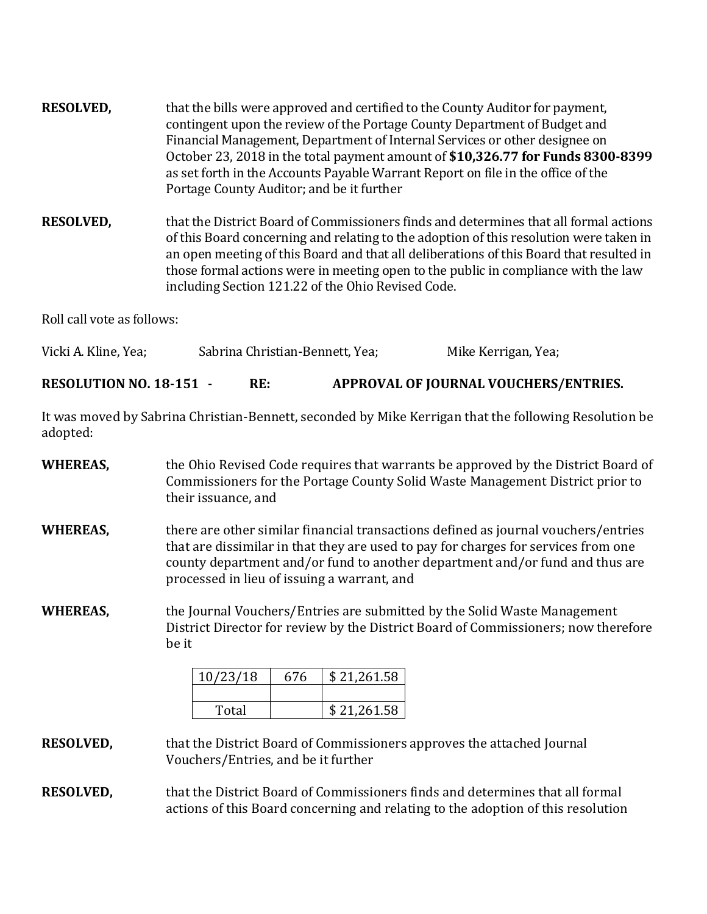- **RESOLVED,** that the bills were approved and certified to the County Auditor for payment, contingent upon the review of the Portage County Department of Budget and Financial Management, Department of Internal Services or other designee on October 23, 2018 in the total payment amount of **\$10,326.77 for Funds 8300-8399**  as set forth in the Accounts Payable Warrant Report on file in the office of the Portage County Auditor; and be it further
- **RESOLVED,** that the District Board of Commissioners finds and determines that all formal actions of this Board concerning and relating to the adoption of this resolution were taken in an open meeting of this Board and that all deliberations of this Board that resulted in those formal actions were in meeting open to the public in compliance with the law including Section 121.22 of the Ohio Revised Code.

Roll call vote as follows:

| Vicki A. Kline, Yea; | Sabrina Christian-Bennett, Yea; | Mike Kerrigan, Yea; |
|----------------------|---------------------------------|---------------------|
|----------------------|---------------------------------|---------------------|

**RESOLUTION NO. 18-151 - RE: APPROVAL OF JOURNAL VOUCHERS/ENTRIES.**

It was moved by Sabrina Christian-Bennett, seconded by Mike Kerrigan that the following Resolution be adopted:

- **WHEREAS,** the Ohio Revised Code requires that warrants be approved by the District Board of Commissioners for the Portage County Solid Waste Management District prior to their issuance, and
- **WHEREAS,** there are other similar financial transactions defined as journal vouchers/entries that are dissimilar in that they are used to pay for charges for services from one county department and/or fund to another department and/or fund and thus are processed in lieu of issuing a warrant, and
- **WHEREAS,** the Journal Vouchers/Entries are submitted by the Solid Waste Management District Director for review by the District Board of Commissioners; now therefore be it

| 10/23/18 | 676 | \$21,261.58 |
|----------|-----|-------------|
|          |     |             |
| Total    |     | \$21,261.58 |

#### **RESOLVED,** that the District Board of Commissioners approves the attached Journal Vouchers/Entries, and be it further

**RESOLVED,** that the District Board of Commissioners finds and determines that all formal actions of this Board concerning and relating to the adoption of this resolution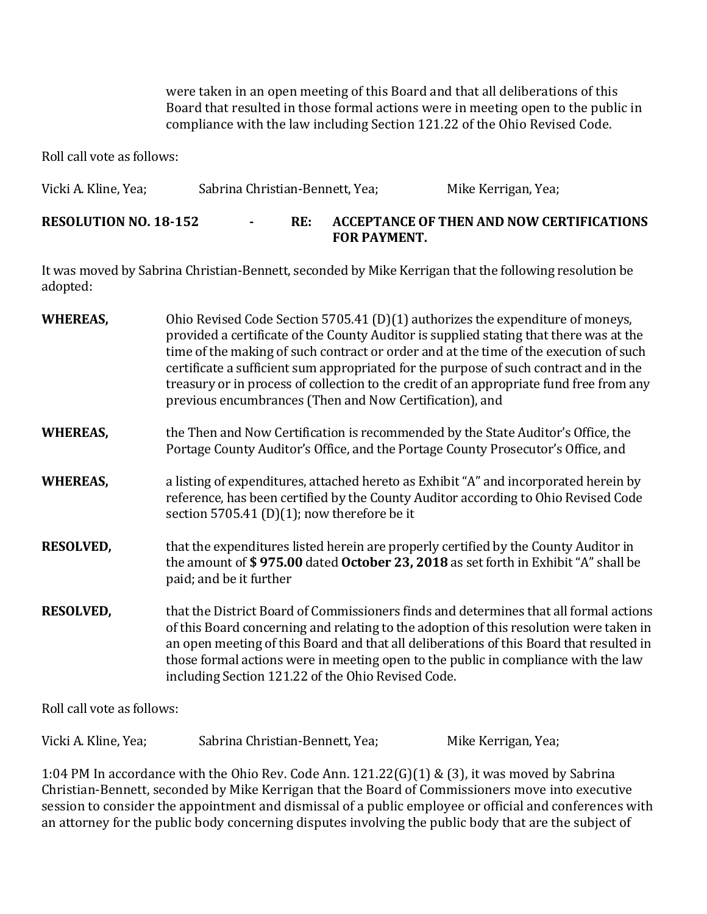were taken in an open meeting of this Board and that all deliberations of this Board that resulted in those formal actions were in meeting open to the public in compliance with the law including Section 121.22 of the Ohio Revised Code.

Roll call vote as follows:

| Vicki A. Kline, Yea; | Sabrina Christian-Bennett, Yea; | Mike Kerrigan, Yea; |
|----------------------|---------------------------------|---------------------|
|                      |                                 |                     |

#### **RESOLUTION NO. 18-152 - RE: ACCEPTANCE OF THEN AND NOW CERTIFICATIONS FOR PAYMENT.**

It was moved by Sabrina Christian-Bennett, seconded by Mike Kerrigan that the following resolution be adopted:

| <b>WHEREAS,</b>             | Ohio Revised Code Section 5705.41 (D)(1) authorizes the expenditure of moneys,<br>provided a certificate of the County Auditor is supplied stating that there was at the<br>time of the making of such contract or order and at the time of the execution of such<br>certificate a sufficient sum appropriated for the purpose of such contract and in the<br>treasury or in process of collection to the credit of an appropriate fund free from any<br>previous encumbrances (Then and Now Certification), and |
|-----------------------------|------------------------------------------------------------------------------------------------------------------------------------------------------------------------------------------------------------------------------------------------------------------------------------------------------------------------------------------------------------------------------------------------------------------------------------------------------------------------------------------------------------------|
| <b>WHEREAS,</b>             | the Then and Now Certification is recommended by the State Auditor's Office, the<br>Portage County Auditor's Office, and the Portage County Prosecutor's Office, and                                                                                                                                                                                                                                                                                                                                             |
| <b>WHEREAS,</b>             | a listing of expenditures, attached hereto as Exhibit "A" and incorporated herein by<br>reference, has been certified by the County Auditor according to Ohio Revised Code<br>section 5705.41 (D)(1); now therefore be it                                                                                                                                                                                                                                                                                        |
| <b>RESOLVED,</b>            | that the expenditures listed herein are properly certified by the County Auditor in<br>the amount of \$975.00 dated October 23, 2018 as set forth in Exhibit "A" shall be<br>paid; and be it further                                                                                                                                                                                                                                                                                                             |
| <b>RESOLVED,</b>            | that the District Board of Commissioners finds and determines that all formal actions<br>of this Board concerning and relating to the adoption of this resolution were taken in<br>an open meeting of this Board and that all deliberations of this Board that resulted in<br>those formal actions were in meeting open to the public in compliance with the law<br>including Section 121.22 of the Ohio Revised Code.                                                                                           |
| $R = 11 - 11 - 11 - 11 = 0$ |                                                                                                                                                                                                                                                                                                                                                                                                                                                                                                                  |

Roll call vote as follows:

Vicki A. Kline, Yea; Sabrina Christian-Bennett, Yea; Mike Kerrigan, Yea;

1:04 PM In accordance with the Ohio Rev. Code Ann. 121.22(G)(1) & (3), it was moved by Sabrina Christian-Bennett, seconded by Mike Kerrigan that the Board of Commissioners move into executive session to consider the appointment and dismissal of a public employee or official and conferences with an attorney for the public body concerning disputes involving the public body that are the subject of